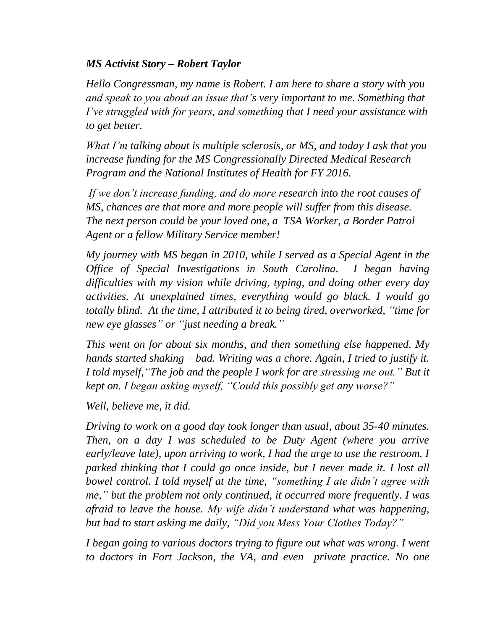## *MS Activist Story – Robert Taylor*

*Hello Congressman, my name is Robert. I am here to share a story with you and speak to you about an issue that's very important to me. Something that I've struggled with for years, and something that I need your assistance with to get better.*

*What I'm talking about is multiple sclerosis, or MS, and today I ask that you increase funding for the MS Congressionally Directed Medical Research Program and the National Institutes of Health for FY 2016.*

*If we don't increase funding, and do more research into the root causes of MS, chances are that more and more people will suffer from this disease. The next person could be your loved one, a TSA Worker, a Border Patrol Agent or a fellow Military Service member!*

*My journey with MS began in 2010, while I served as a Special Agent in the Office of Special Investigations in South Carolina. I began having difficulties with my vision while driving, typing, and doing other every day activities. At unexplained times, everything would go black. I would go totally blind. At the time, I attributed it to being tired, overworked, "time for new eye glasses" or "just needing a break."*

*This went on for about six months, and then something else happened. My hands started shaking – bad. Writing was a chore. Again, I tried to justify it. I told myself,"The job and the people I work for are stressing me out." But it kept on. I began asking myself, "Could this possibly get any worse?"* 

*Well, believe me, it did.*

*Driving to work on a good day took longer than usual, about 35-40 minutes. Then, on a day I was scheduled to be Duty Agent (where you arrive early/leave late), upon arriving to work, I had the urge to use the restroom. I parked thinking that I could go once inside, but I never made it. I lost all bowel control. I told myself at the time, "something I ate didn't agree with me," but the problem not only continued, it occurred more frequently. I was afraid to leave the house. My wife didn't understand what was happening, but had to start asking me daily, "Did you Mess Your Clothes Today?"*

*I began going to various doctors trying to figure out what was wrong. I went to doctors in Fort Jackson, the VA, and even private practice. No one*